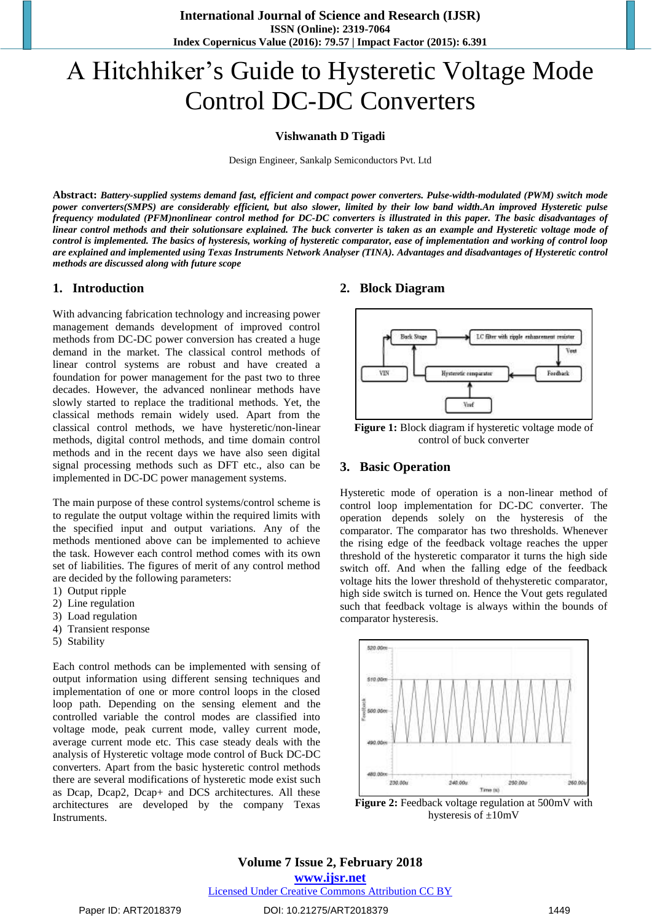**International Journal of Science and Research (IJSR) ISSN (Online): 2319-7064 Index Copernicus Value (2016): 79.57 | Impact Factor (2015): 6.391**

# A Hitchhiker's Guide to Hysteretic Voltage Mode Control DC-DC Converters

#### **Vishwanath D Tigadi**

Design Engineer, Sankalp Semiconductors Pvt. Ltd

**Abstract:** *Battery-supplied systems demand fast, efficient and compact power converters. Pulse-width-modulated (PWM) switch mode power converters(SMPS) are considerably efficient, but also slower, limited by their low band width.An improved Hysteretic pulse frequency modulated (PFM)nonlinear control method for DC-DC converters is illustrated in this paper. The basic disadvantages of linear control methods and their solutionsare explained. The buck converter is taken as an example and Hysteretic voltage mode of control is implemented. The basics of hysteresis, working of hysteretic comparator, ease of implementation and working of control loop are explained and implemented using Texas Instruments Network Analyser (TINA). Advantages and disadvantages of Hysteretic control methods are discussed along with future scope*

#### **1. Introduction**

With advancing fabrication technology and increasing power management demands development of improved control methods from DC-DC power conversion has created a huge demand in the market. The classical control methods of linear control systems are robust and have created a foundation for power management for the past two to three decades. However, the advanced nonlinear methods have slowly started to replace the traditional methods. Yet, the classical methods remain widely used. Apart from the classical control methods, we have hysteretic/non-linear methods, digital control methods, and time domain control methods and in the recent days we have also seen digital signal processing methods such as DFT etc., also can be implemented in DC-DC power management systems.

The main purpose of these control systems/control scheme is to regulate the output voltage within the required limits with the specified input and output variations. Any of the methods mentioned above can be implemented to achieve the task. However each control method comes with its own set of liabilities. The figures of merit of any control method are decided by the following parameters:

- 1) Output ripple
- 2) Line regulation
- 3) Load regulation
- 4) Transient response
- 5) Stability

Each control methods can be implemented with sensing of output information using different sensing techniques and implementation of one or more control loops in the closed loop path. Depending on the sensing element and the controlled variable the control modes are classified into voltage mode, peak current mode, valley current mode, average current mode etc. This case steady deals with the analysis of Hysteretic voltage mode control of Buck DC-DC converters. Apart from the basic hysteretic control methods there are several modifications of hysteretic mode exist such as Dcap, Dcap2, Dcap+ and DCS architectures. All these architectures are developed by the company Texas Instruments.

#### **2. Block Diagram**



Figure 1: Block diagram if hysteretic voltage mode of control of buck converter

#### **3. Basic Operation**

Hysteretic mode of operation is a non-linear method of control loop implementation for DC-DC converter. The operation depends solely on the hysteresis of the comparator. The comparator has two thresholds. Whenever the rising edge of the feedback voltage reaches the upper threshold of the hysteretic comparator it turns the high side switch off. And when the falling edge of the feedback voltage hits the lower threshold of thehysteretic comparator, high side switch is turned on. Hence the Vout gets regulated such that feedback voltage is always within the bounds of comparator hysteresis.



Figure 2: Feedback voltage regulation at 500mV with hysteresis of ±10mV

#### **Volume 7 Issue 2, February 2018 <www.ijsr.net>**

[Licensed Under Creative Commons Attribution CC BY](http://creativecommons.org/licenses/by/4.0/)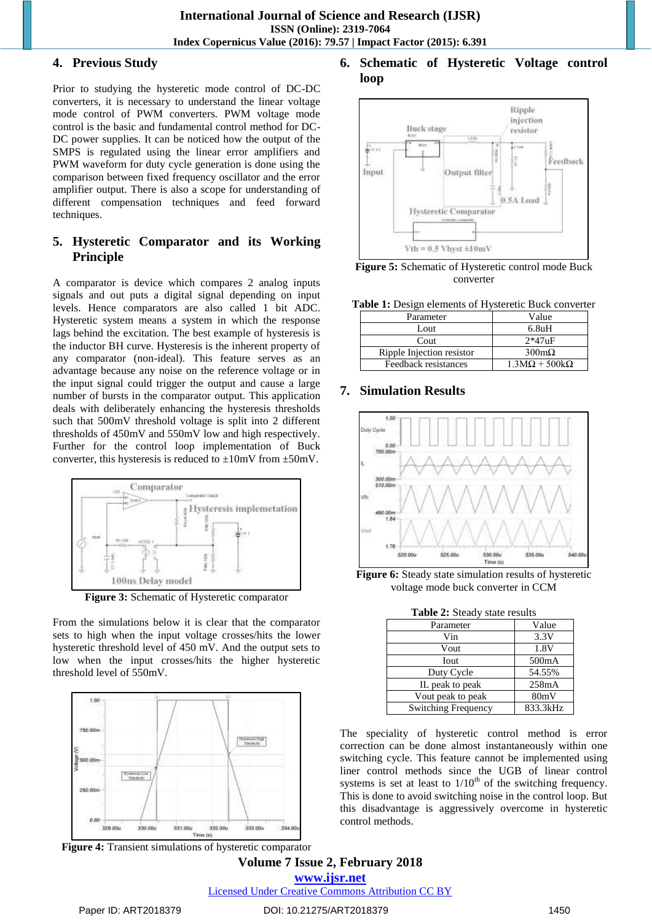#### **4. Previous Study**

Prior to studying the hysteretic mode control of DC-DC converters, it is necessary to understand the linear voltage mode control of PWM converters. PWM voltage mode control is the basic and fundamental control method for DC-DC power supplies. It can be noticed how the output of the SMPS is regulated using the linear error amplifiers and PWM waveform for duty cycle generation is done using the comparison between fixed frequency oscillator and the error amplifier output. There is also a scope for understanding of different compensation techniques and feed forward techniques.

# **5. Hysteretic Comparator and its Working Principle**

A comparator is device which compares 2 analog inputs signals and out puts a digital signal depending on input levels. Hence comparators are also called 1 bit ADC. Hysteretic system means a system in which the response lags behind the excitation. The best example of hysteresis is the inductor BH curve. Hysteresis is the inherent property of any comparator (non-ideal). This feature serves as an advantage because any noise on the reference voltage or in the input signal could trigger the output and cause a large number of bursts in the comparator output. This application deals with deliberately enhancing the hysteresis thresholds such that 500mV threshold voltage is split into 2 different thresholds of 450mV and 550mV low and high respectively. Further for the control loop implementation of Buck converter, this hysteresis is reduced to  $\pm 10$ mV from  $\pm 50$ mV.



**Figure 3:** Schematic of Hysteretic comparator

From the simulations below it is clear that the comparator sets to high when the input voltage crosses/hits the lower hysteretic threshold level of 450 mV. And the output sets to low when the input crosses/hits the higher hysteretic threshold level of 550mV.



**Figure 4:** Transient simulations of hysteretic comparator

# **6. Schematic of Hysteretic Voltage control loop**



**Figure 5:** Schematic of Hysteretic control mode Buck converter

**Table 1:** Design elements of Hysteretic Buck converter

| Parameter                 | Value                                   |  |
|---------------------------|-----------------------------------------|--|
| Lout                      | 6.8uH                                   |  |
| Cout                      | $2*47nF$                                |  |
| Ripple Injection resistor | $300 \text{m}\Omega$                    |  |
| Feedback resistances      | $1.3\text{M}\Omega + 500\text{k}\Omega$ |  |

# **7. Simulation Results**



**Figure 6:** Steady state simulation results of hysteretic voltage mode buck converter in CCM

**Table 2:** Steady state results

| Parameter                  | Value    |
|----------------------------|----------|
| Vin                        | 3.3V     |
| Vout                       | 1.8V     |
| Iout                       | 500mA    |
| Duty Cycle                 | 54.55%   |
| IL peak to peak            | 258mA    |
| Vout peak to peak          | 80mV     |
| <b>Switching Frequency</b> | 833.3kHz |

The speciality of hysteretic control method is error correction can be done almost instantaneously within one switching cycle. This feature cannot be implemented using liner control methods since the UGB of linear control systems is set at least to  $1/10<sup>th</sup>$  of the switching frequency. This is done to avoid switching noise in the control loop. But this disadvantage is aggressively overcome in hysteretic control methods.

# **Volume 7 Issue 2, February 2018 <www.ijsr.net>** [Licensed Under Creative Commons Attribution CC BY](http://creativecommons.org/licenses/by/4.0/)

#### Paper ID: ART2018379 DOI: 10.21275/ART2018379 1450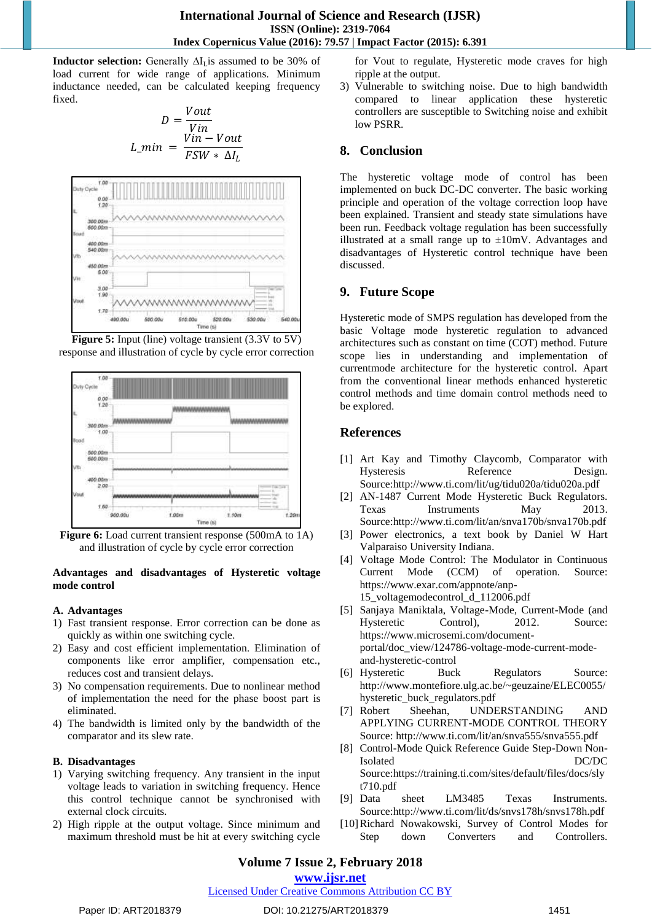**Inductor selection:** Generally ∆I<sub>L</sub>is assumed to be 30% of load current for wide range of applications. Minimum inductance needed, can be calculated keeping frequency fixed.

$$
D = \frac{Vout}{Vin}
$$
  

$$
L\_min = \frac{Vin - Vout}{FSW * \Delta I_L}
$$



|                                                              | <b>Figure 5:</b> Input (line) voltage transient (3.3V to 5V) |  |  |
|--------------------------------------------------------------|--------------------------------------------------------------|--|--|
| response and illustration of cycle by cycle error correction |                                                              |  |  |



**Figure 6:** Load current transient response (500mA to 1A) and illustration of cycle by cycle error correction

#### **Advantages and disadvantages of Hysteretic voltage mode control**

# **A. Advantages**

- 1) Fast transient response. Error correction can be done as quickly as within one switching cycle.
- 2) Easy and cost efficient implementation. Elimination of components like error amplifier, compensation etc., reduces cost and transient delays.
- 3) No compensation requirements. Due to nonlinear method of implementation the need for the phase boost part is eliminated.
- 4) The bandwidth is limited only by the bandwidth of the comparator and its slew rate.

# **B. Disadvantages**

- 1) Varying switching frequency. Any transient in the input voltage leads to variation in switching frequency. Hence this control technique cannot be synchronised with external clock circuits.
- 2) High ripple at the output voltage. Since minimum and maximum threshold must be hit at every switching cycle

for Vout to regulate, Hysteretic mode craves for high ripple at the output.

3) Vulnerable to switching noise. Due to high bandwidth compared to linear application these hysteretic controllers are susceptible to Switching noise and exhibit low PSRR.

# **8. Conclusion**

The hysteretic voltage mode of control has been implemented on buck DC-DC converter. The basic working principle and operation of the voltage correction loop have been explained. Transient and steady state simulations have been run. Feedback voltage regulation has been successfully illustrated at a small range up to  $\pm 10$ mV. Advantages and disadvantages of Hysteretic control technique have been discussed.

# **9. Future Scope**

Hysteretic mode of SMPS regulation has developed from the basic Voltage mode hysteretic regulation to advanced architectures such as constant on time (COT) method. Future scope lies in understanding and implementation of currentmode architecture for the hysteretic control. Apart from the conventional linear methods enhanced hysteretic control methods and time domain control methods need to be explored.

# **References**

- [1] Art Kay and Timothy Claycomb, Comparator with Hysteresis Reference Design. Source[:http://www.ti.com/lit/ug/tidu020a/tidu020a.pdf](http://www.ti.com/lit/ug/tidu020a/tidu020a.pdf)
- [2] AN-1487 Current Mode Hysteretic Buck Regulators. Texas Instruments May 2013. Source[:http://www.ti.com/lit/an/snva170b/snva170b.pdf](http://www.ti.com/lit/an/snva170b/snva170b.pdf)
- [3] Power electronics, a text book by Daniel W Hart Valparaiso University Indiana.
- [4] Voltage Mode Control: The Modulator in Continuous Current Mode (CCM) of operation. Source: [https://www.exar.com/appnote/anp-](https://www.exar.com/appnote/anp-15_voltagemodecontrol_d_112006.pdf)
	- [15\\_voltagemodecontrol\\_d\\_112006.pdf](https://www.exar.com/appnote/anp-15_voltagemodecontrol_d_112006.pdf)
- [5] Sanjaya Maniktala, Voltage-Mode, Current-Mode (and Hysteretic Control), 2012. Source: [https://www.microsemi.com/document](https://www.microsemi.com/document-portal/doc_view/124786-voltage-mode-current-mode-and-hysteretic-control)[portal/doc\\_view/124786-voltage-mode-current-mode](https://www.microsemi.com/document-portal/doc_view/124786-voltage-mode-current-mode-and-hysteretic-control)[and-hysteretic-control](https://www.microsemi.com/document-portal/doc_view/124786-voltage-mode-current-mode-and-hysteretic-control)
- [6] Hysteretic Buck Regulators Source: [http://www.montefiore.ulg.ac.be/~geuzaine/ELEC0055/](http://www.montefiore.ulg.ac.be/~geuzaine/ELEC0055/hysteretic_buck_regulators.pdf) [hysteretic\\_buck\\_regulators.pdf](http://www.montefiore.ulg.ac.be/~geuzaine/ELEC0055/hysteretic_buck_regulators.pdf)
- [7] Robert Sheehan, UNDERSTANDING AND APPLYING CURRENT-MODE CONTROL THEORY Source[: http://www.ti.com/lit/an/snva555/snva555.pdf](http://www.ti.com/lit/an/snva555/snva555.pdf)
- [8] Control-Mode Quick Reference Guide Step-Down Non-Isolated DC/DC Source[:https://training.ti.com/sites/default/files/docs/sly](https://training.ti.com/sites/default/files/docs/slyt710.pdf) [t710.pdf](https://training.ti.com/sites/default/files/docs/slyt710.pdf)
- [9] Data sheet LM3485 Texas Instruments. Source[:http://www.ti.com/lit/ds/snvs178h/snvs178h.pdf](http://www.ti.com/lit/ds/snvs178h/snvs178h.pdf)
- [10]Richard Nowakowski, Survey of Control Modes for Step down Converters and Controllers.

# **Volume 7 Issue 2, February 2018**

#### **<www.ijsr.net>**

# [Licensed Under Creative Commons Attribution CC BY](http://creativecommons.org/licenses/by/4.0/)